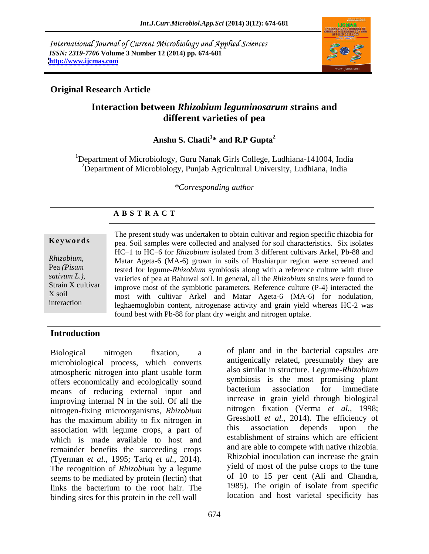International Journal of Current Microbiology and Applied Sciences *ISSN: 2319-7706* **Volume 3 Number 12 (2014) pp. 674-681 <http://www.ijcmas.com>**



## **Original Research Article**

# **Interaction between** *Rhizobium leguminosarum s***trains and different varieties of pea**

### Anshu S. Chatli<sup>1</sup><sup>\*</sup> and R.P Gupta<sup>2</sup> **\* and R.P Gupta<sup>2</sup>**

<sup>1</sup>Department of Microbiology, Guru Nanak Girls College, Ludhiana-141004, India <sup>2</sup>Department of Microbiology, Punjab Agricultural University, Ludhiana, India

### *\*Corresponding author*

### **A B S T R A C T**

**Keywords** pea. Soil samples were collected and analysed for soil characteristics. Six isolates *Rhizobium,*  Matar Ageta-6 (MA-6) grown in soils of Hoshiarpur region were screened and Pea *(Pisum* tested for legume-*Rhizobium* symbiosis along with a reference culture with three *sativum L.),*  varieties of pea at Bahuwal soil. In general, all the *Rhizobium* strains were found to Strain X cultivar improve most of the symbiotic parameters. Reference culture  $(P-4)$  interacted the X soil most with cultivar Arkel and Matar Ageta-6 (MA-6) for nodulation, interaction leghaemoglobin content, nitrogenase activity and grain yield whereas HC-2 was The present study was undertaken to obtain cultivar and region specific rhizobia for HC-1 to HC-6 for *Rhizobium* isolated from 3 different cultivars Arkel, Pb-88 and found best with Pb-88 for plant dry weight and nitrogen uptake.

### **Introduction**

microbiological process, which converts atmospheric nitrogen into plant usable form offers economically and ecologically sound<br>means of reducing external input and bacterium association for immediate means of reducing external input and improving internal N in the soil. Of all the nitrogen-fixing microorganisms, *Rhizobium* has the maximum ability to fix nitrogen in  $\frac{1}{2}$  Gresshott *et al.*, 2014). The efficiency of association with legume crops a part of this association depends upon the association with legume crops, a part of which is made available to host and remainder benefits the succeeding crops (Tyerman *et al.,* 1995; Tariq *et al.,* 2014). The recognition of *Rhizobium* by a legume yield of most of the pulse crops to the tune seems to be mediated by protein (lectin) that links the bacterium to the root hair. The 1985). The origin of isolate from specific binding sites for this protein in the cell wall

Biological nitrogen fixation, a of plant and in the bacterial capsules are antigenically related, presumably they are also similar in structure. Legume-*Rhizobium* symbiosis is the most promising plant bacterium association for immediate increase in grain yield through biological nitrogen fixation (Verma *et al.,* 1998; Gresshoff *et al.,* 2014). The efficiency of this association depends upon the establishment of strains which are efficient and are able to compete with native rhizobia. Rhizobial inoculation can increase the grain yield of most of the pulse crops to the tune of 10 to 15 per cent (Ali and Chandra, 1985). The origin of isolate from specific location and host varietal specificity has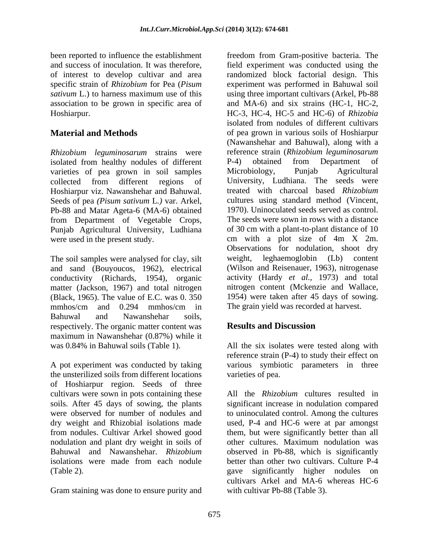association to be grown in specific area of

*Rhizobium leguminosarum* strains were reference strain (*Rhizobium leguminosa* isolated from healthy nodules of different P-4) obtained from Department isolated from healthy nodules of different P-4) obtained from Department of varieties of pea grown in soil samples Microbiology, Punjab Agricultural varieties of pea grown in soil samples Microbiology, Punjab Hoshiarpur viz. Nawanshehar and Bahuwal. The treated with charcoal based Rhizobium Seeds of pea *(Pisum sativum* L*.)* var. Arkel, Pb-88 and Matar Ageta-6 (MA-6) obtained from Department of Vegetable Crops, Punjab Agricultural University, Ludhiana

and sand (Bouyoucos, 1962), electrical conductivity (Richards, 1954), organic matter (Jackson, 1967) and total nitrogen<br>(Black, 1965). The value of E.C. was 0, 350 mmhos/cm and 0.294 mmhos/cm in The grain yield was recorded at harvest. Bahuwal and Nawanshehar soils, respectively. The organic matter content was **Results and Discussion** maximum in Nawanshehar (0.87%) while it was 0.84% in Bahuwal soils (Table 1). All the six isolates were tested along with

A pot experiment was conducted by taking various symbiotic parameters in three the unsterilized soils from different locations of Hoshiarpur region. Seeds of three nodulation and plant dry weight in soils of

Gram staining was done to ensure purity and

been reported to influence the establishment freedom from Gram-positive bacteria. The and success of inoculation. It was therefore, field experiment was conducted using the of interest to develop cultivar and area randomized block factorial design. This specific strain of *Rhizobium* for Pea (*Pisum*  experiment was performed in Bahuwal soil sativum L.) to harness maximum use of this using three important cultivars (Arkel, Pb-88 Hoshiarpur. HC-3, HC-4, HC-5 and HC-6) of *Rhizobia*  **Material and Methods of pea grown in various soils of Hoshiarpur** collected from different regions of University, Ludhiana. The seeds were were used in the present study. cm with a plot size of 4m X 2m. The soil samples were analysed for clay, silt weight, leghaemoglobin (Lb) content (Black, 1965). The value of E.C. was 0. 350 1954) were taken after 45 days of sowing. and MA-6) and six strains (HC-1, HC-2, isolated from nodules of different cultivars (Nawanshehar and Bahuwal), along with a reference strain (*Rhizobium leguminosarum* P-4) obtained from Department of Microbiology, Punjab Agricultural treated with charcoal based *Rhizobium* cultures using standard method (Vincent, 1970). Uninoculated seeds served as control. The seeds were sown in rows with a distance of 30 cm with a plant-to-plant distance of 10 Observations for nodulation, shoot dry weight, leghaemoglobin (Lb) content (Wilson and Reisenauer, 1963), nitrogenase activity (Hardy *et al.,* 1973) and total nitrogen content (Mckenzie and Wallace, The grain yield was recorded at harvest.

# **Results and Discussion**

reference strain (P-4) to study their effect on varieties of pea.

cultivars were sown in pots containing these All the *Rhizobium* cultures resulted in soils. After 45 days of sowing, the plants significant increase in nodulation compared were observed for number of nodules and to uninoculated control. Among the cultures dry weight and Rhizobial isolations made used, P-4 and HC-6 were at par amongst from nodules. Cultivar Arkel showed good them, but were significantly better than all Bahuwal and Nawanshehar. *Rhizobium* observed in Pb-88, which is significantly isolations were made from each nodule better than other two cultivars. Culture P-4 (Table 2). gave significantly higher nodules on other cultures. Maximum nodulation was cultivars Arkel and MA-6 whereas HC-6 with cultivar Pb-88 (Table 3).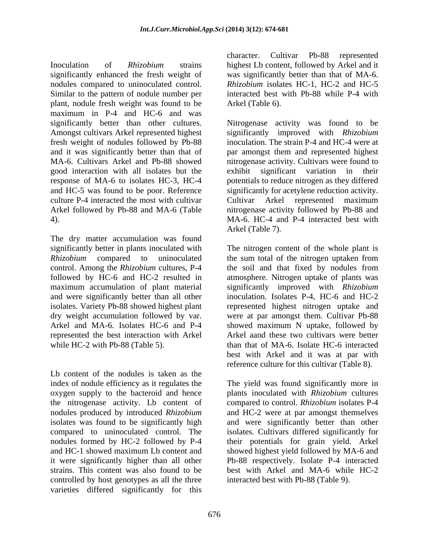Inoculation of *Rhizobium* strains highest Lb content, followed by Arkel and it significantly enhanced the fresh weight of was significantly better than that of MA-6. nodules compared to uninoculated control. Similar to the pattern of nodule number per plant, nodule fresh weight was found to be maximum in P-4 and HC-6 and was fresh weight of nodules followed by Pb-88 good interaction with all isolates but the

The dry matter accumulation was found maximum accumulation of plant material represented the best interaction with Arkel

Lb content of the nodules is taken as the index of nodule efficiency as it regulates the the nitrogenase activity. Lb content of controlled by host genotypes as all the three varieties differed significantly for this

character. Cultivar Pb-88 represented *Rhizobium* isolates HC-1, HC-2 and HC-5 interacted best with Pb-88 while P-4 with Arkel (Table 6).

significantly better than other cultures. Nitrogenase activity was found to be Amongst cultivars Arkel represented highest significantly improved with *Rhizobium* and it was significantly better than that of par amongst them and represented highest MA-6. Cultivars Arkel and Pb-88 showed nitrogenase activity. Cultivars were found to response of MA-6 to isolates HC-3, HC-4 potentials to reduce nitrogen as they differed and HC-5 was found to be poor. Reference significantly for acetylene reduction activity. culture P-4 interacted the most with cultivar Cultivar Arkel represented maximum Arkel followed by Pb-88 and MA-6 (Table nitrogenase activity followed by Pb-88 and 4). MA-6. HC-4 and P-4 interacted best with inoculation. The strain P-4 and HC-4 were at significant variation in their Arkel (Table 7).

significantly better in plants inoculated with The nitrogen content of the whole plant is *Rhizobium* compared to uninoculated the sum total of the nitrogen uptaken from control. Among the *Rhizobium* cultures, P-4 the soil and that fixed by nodules from followed by HC-6 and HC-2 resulted in atmosphere. Nitrogen uptake of plants was and were significantly better than all other inoculation. Isolates P-4, HC-6 and HC-2 isolates. Variety Pb-88 showed highest plant represented highest nitrogen uptake and dry weight accumulation followed by var. were at par amongst them. Cultivar Pb-88 Arkel and MA-6. Isolates HC-6 and P-4 showed maximum N uptake, followed by while HC-2 with Pb-88 (Table 5). han that of MA-6. Isolate HC-6 interacted significantly improved with *Rhizobium* Arkel aand these two cultivars were better best with Arkel and it was at par with reference culture for this cultivar (Table 8).

oxygen supply to the bacteroid and hence plants inoculated with *Rhizobium* cultures nodules produced by introduced *Rhizobium* and HC-2 were at par amongst themselves isolates was found to be significantly high and were significantly better than other compared to uninoculated control. The isolates. Cultivars differed significantly for nodules formed by HC-2 followed by P-4 their potentials for grain yield. Arkel and HC-1 showed maximum Lb content and showed highest yield followed by MA-6 and it were significantly higher than all other Pb-88 respectively. Isolate P-4 interacted strains. This content was also found to be best with Arkel and MA-6 while HC-2 The yield was found significantly more in compared to control. *Rhizobium* isolates P-4 interacted best with Pb-88 (Table 9).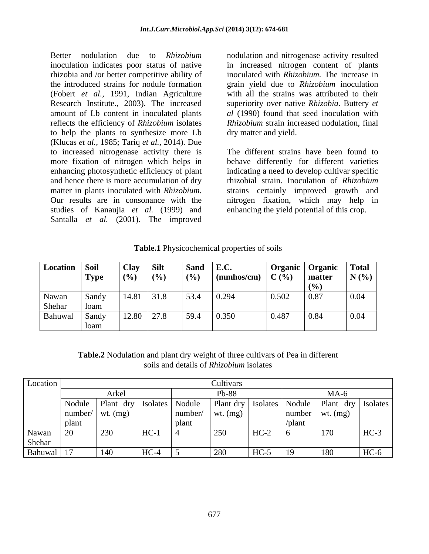rhizobia and /or better competitive ability of amount of Lb content in inoculated plants reflects the efficiency of *Rhizobium* isolates *Rhizobium* strain increased nodulation, final to help the plants to synthesize more Lb (Klucas *et al.,* 1985; Tariq *et al.,* 2014). Due to increased nitrogenase activity there is more fixation of nitrogen which helps in enhancing photosynthetic efficiency of plant and hence there is more accumulation of dry matter in plants inoculated with *Rhizobium*. studies of Kanaujia *et al.* (1999) and Santalla *et al.* (2001). The improved

Better nodulation due to *Rhizobium* nodulation and nitrogenase activity resulted inoculation indicates poor status of native in increased nitrogen content of plants the introduced strains for nodule formation grain yield due to *Rhizobium* inoculation (Fobert *et al.,* 1991, Indian Agriculture with all the strains was attributed to their Research Institute., 2003). The increased superiority over native *Rhizobia*. Buttery *et*  inoculated with *Rhizobium.* The increase in *al* (1990) found that seed inoculation with *Rhizobium* strain increased nodulation, final dry matter and yield.

matter in plants inoculated with *Rhizobium*. strains certainly improved growth and Our results are in consonance with the nitrogen fixation, which may help in The different strains have been found to behave differently for different varieties indicating a need to develop cultivar specific rhizobial strain. Inoculation of *Rhizobium* enhancing the yield potential of this crop.

| Table.1<br>$\mathbf{r}$<br>Physicochemical properties of soils |  |
|----------------------------------------------------------------|--|
|                                                                |  |

| Location Soil |             | <b>Clay</b>  | <b>Silt</b> | Sand | E.C                 | Organic         | Organic      | <b>Total</b> |
|---------------|-------------|--------------|-------------|------|---------------------|-----------------|--------------|--------------|
|               | <b>Type</b> | (9/6)        | $($ %)      | (%   | $\lceil$ (mmhos/cm) | $\mathbf{C}$ (% | matter       | N(%          |
|               |             |              |             |      |                     |                 |              |              |
| Nawan         | Sandy       | 14.81        | $31.8$      | 53.4 | $\vert 0.294$       | 0.502           | $\vert$ 0.87 | $\mid 0.04$  |
| Shehar        | loam        |              |             |      |                     |                 |              |              |
| Bahuwal       | Sandy       | $12.80$ 27.8 |             | 59.4 | 0.350               | 0.487           | 0.84         | 0.04         |
|               | loam        |              |             |      |                     |                 |              |              |

**Table.2** Nodulation and plant dry weight of three cultivars of Pea in different soils and details of *Rhizobium* isolates

| Location   |                        |                         |          |         | Cultivars  |        |        |                                                      |        |  |
|------------|------------------------|-------------------------|----------|---------|------------|--------|--------|------------------------------------------------------|--------|--|
|            |                        | Arkel                   |          | Pb-88   |            |        | $MA-6$ |                                                      |        |  |
|            |                        | Nodule   Plant dry   Is | Isolates | Nodule  |            |        |        | Plant dry   Isolates   Nodule   Plant dry   Isolates |        |  |
|            | $number/$   wt. $(mg)$ |                         |          | number/ | wt. $(mg)$ |        |        | $\vert$ number $\vert$ wt. (mg)                      |        |  |
|            | plant                  |                         |          | plant   |            |        | /plant |                                                      |        |  |
| Nawan      | $\overline{C}$<br>ZU.  | 230                     | $HC-1$   |         | 250        | $HC-2$ |        | 170                                                  | $HC-3$ |  |
| Shehar     |                        |                         |          |         |            |        |        |                                                      |        |  |
| Bahuwal 17 |                        | 140                     | HC-4     |         | 280        | $HC-5$ | 19     | 180                                                  | HC-6   |  |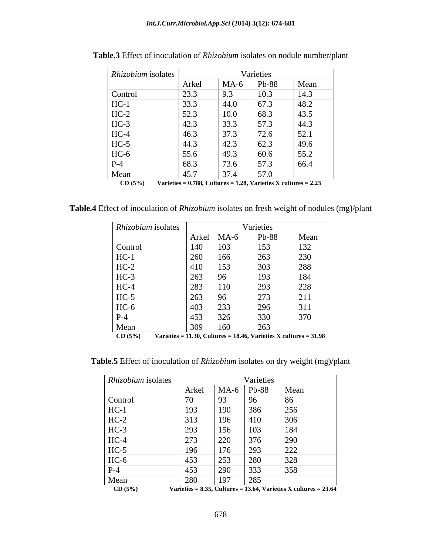| Rhizobium isolates |       |        | Varieties |                                       |
|--------------------|-------|--------|-----------|---------------------------------------|
|                    | Arkel | $MA-6$ | Pb-88     | Mean                                  |
| Control            | 23.3  | 9.3    | 10.3      | 14.3                                  |
| $HC-1$             | 33.3  | 44.0   | 67.3      | 48.2                                  |
| $HC-2$             | 52.3  | 10.0   | 68.3      | 43.5                                  |
| $HC-3$             | 42.3  | 33.3   | 57.3      | 44.3                                  |
| $HC-4$             | 46.3  | 37.3   | 72.6      | 50 <sup>o</sup><br>$J\mathcal{L}$ . 1 |
| $HC-5$             | 44.3  | 42.3   | 62.3      | 49.6                                  |
| $HC-6$             | 55.6  | 49.3   | 60.6      | 55.2                                  |
| $P-4$              | 68.3  | 73.6   | 57.3      | 66.4                                  |
| Mean               | 45.7  | 37.4   | 57.0      | $\overline{\phantom{a}}$              |

**Table.3** Effect of inoculation of *Rhizobium* isolates on nodule number/plant

**CD (5%) Varieties = 0.788, Cultures = 1.28, Varieties X cultures = 2.23**

**Table.4** Effect of inoculation of *Rhizobium* isolates on fresh weight of nodules (mg)/plant

| Rhizobium isolates |       |        | Varieties |      |
|--------------------|-------|--------|-----------|------|
|                    | Arkel | $MA-6$ | Pb-88     | Mean |
| Control            | 140   | 103    | 153       | 132  |
| $HC-1$             | 260   | 166    | 263       | 230  |
| $HC-2$             | 410   | 153    | 303       | 288  |
| $HC-3$             | 263   | 96     | 193       | 184  |
| $HC-4$             | 283   | 110    | 293       | 228  |
| $HC-5$             | 263   | 96     | 273       | 211  |
| $HC-6$             | 403   | 233    | 296       | 311  |
| $P-4$              | 453   | 326    | 330       | 370  |
| Mean               | 309   | 160    | 263       |      |

**CD (5%) Varieties = 11.30, Cultures = 18.46, Varieties X cultures = 31.98**

**Table.5** Effect of inoculation of *Rhizobium* isolates on dry weight (mg)/plant

| Rhizobium isolates |       |        | Varieties |                                                                       |
|--------------------|-------|--------|-----------|-----------------------------------------------------------------------|
|                    | Arkel | $MA-6$ | Pb-88     | Mean                                                                  |
| Control            | 70    | 93     | 96        | -86                                                                   |
| $HC-1$             | 193   | 190    | 386       | 256                                                                   |
| $HC-2$             | 313   | 196    | 410       | 306                                                                   |
| $HC-3$             | 293   | 156    | 103       | 184                                                                   |
| $HC-4$             | 273   | 220    | 376       | 290                                                                   |
| $HC-5$             | 196   | 176    | 293       | 222                                                                   |
| $HC-6$             | 453   | 253    | 280       | 328                                                                   |
| $P-4$              | 453   | 290    | 333       | 358                                                                   |
| Mean               | 280   | 197    | 285       |                                                                       |
| CD(5%)             |       |        |           | Varieties = $8.35$ , Cultures = 13.64, Varieties X cultures = $23.64$ |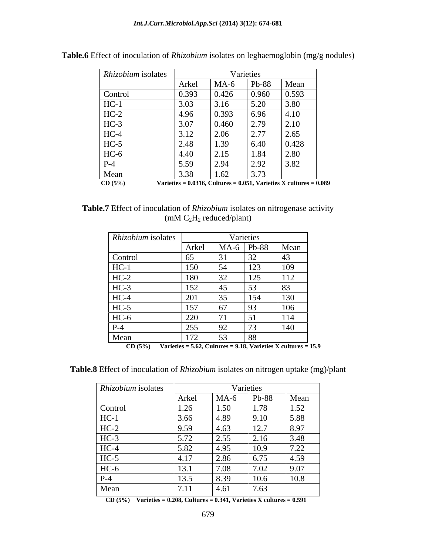| Rhizobium isolates   |                                                                            |        | Varieties |       |
|----------------------|----------------------------------------------------------------------------|--------|-----------|-------|
|                      | Arkel                                                                      | $MA-6$ | Pb-88     | Mean  |
| Control              | 0.393                                                                      | 0.426  | 0.960     | 0.593 |
| HC-1                 | 3.03                                                                       | 3.16   | 5.20      | 3.80  |
| $HC-2$               | 4.96                                                                       | 0.393  | 6.96      | 4.10  |
| $HC-3$               | 3.07                                                                       | 0.460  | 2.79      | 2.10  |
| $HC-4$               | 3.12                                                                       | 2.06   | 2.77      | 2.65  |
| $HC-5$               | 2.48                                                                       | 1.39   | 6.40      | 0.428 |
| HC-6                 | 4.40                                                                       | 2.15   | 1.84      | 2.80  |
| $P-4$                | 5.59                                                                       | 2.94   | 2.92      | 3.82  |
| Mean                 | 3.38                                                                       | 1.62   | 3.73      |       |
| $\overline{CD(5\%)}$ | Varieties = $0.0316$ , Cultures = $0.051$ , Varieties X cultures = $0.089$ |        |           |       |

**Table.6** Effect of inoculation of *Rhizobium* isolates on leghaemoglobin (mg/g nodules)

**Table.7** Effect of inoculation of *Rhizobium* isolates on nitrogenase activity (mM C2H2 reduced/plant)

| Rhizobium isolates |       |                       | Varieties |        |
|--------------------|-------|-----------------------|-----------|--------|
|                    | Arkel | $MA-6$                | Pb-88     | Mean   |
| Control            | 65    | 31                    | 32        | $\sim$ |
| $HC-1$             | 150   | 54                    | 123       | 109    |
| $HC-2$             | 180   | 32                    | 125       | 112    |
| $HC-3$             | 152   | 45                    | 53        | 83     |
| $HC-4$             | 201   | 35                    | 154       | 130    |
| $HC-5$             | 157   | 67                    | 93        | 106    |
| $HC-6$             | 220   | $-71$<br>$\mathbf{I}$ | 51        | 114    |
| $P-4$              | 255   | 92                    | 73        | 140    |
| Mean               | 172   | 53                    | 88        |        |

**CD (5%) Varieties = 5.62, Cultures = 9.18, Varieties X cultures = 15.9**

**Table.8** Effect of inoculation of *Rhizobium* isolates on nitrogen uptake (mg)/plant

| Rhizobium isolates |              |        | Varieties |      |
|--------------------|--------------|--------|-----------|------|
|                    | Arkel        | $MA-6$ | Pb-88     | Mean |
| Control            | 1.26         | 1.50   | 1.78      | 1.52 |
| HC-                | 3.66         | 4.89   | 9.10      | 5.88 |
| $HC-2$             | 9.59         | 4.63   | 12.7      | 8.97 |
| $HC-3$             | 5.72         | 2.55   | 2.16      | 3.48 |
| $HC-4$             | 5.82         | 4.95   | 10.9      | 7.22 |
| $HC-5$             | 4.17         | 2.86   | 6.75      | 4.59 |
| $HC-6$             | 13.1         | 7.08   | 7.02      | 9.07 |
| $P-4$              | 13.5         | 8.39   | 10.6      | 10.8 |
| Mean               | $-1$<br>7.11 | 4.61   | 7.63      |      |

 **CD (5%) Varieties = 0.208, Cultures = 0.341, Varieties X cultures = 0.591**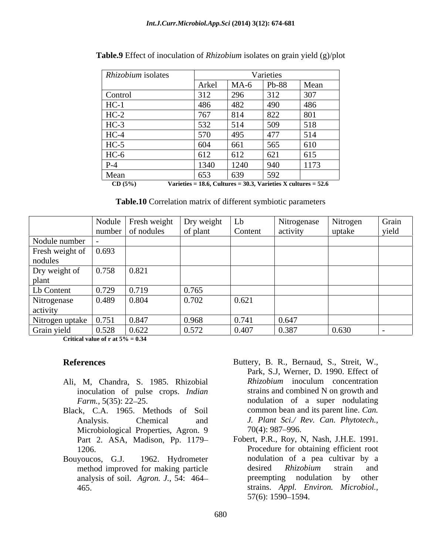| Rhizobium isolates |                                                              |        | Varieties |      |
|--------------------|--------------------------------------------------------------|--------|-----------|------|
|                    | Arkel                                                        | $MA-6$ | Pb-88     | Mean |
| Control            | 312                                                          | 296    | 312       | 307  |
| $HC-1$             | 486                                                          | 482    | 490       | 486  |
| $HC-2$             | 767                                                          | 814    | 822       | 801  |
| $HC-3$             | 532                                                          | 514    | 509       | 518  |
| $HC-4$             | 570                                                          | 495    | 477       | 514  |
| $HC-5$             | 604                                                          | 661    | 565       | 610  |
| $HC-6$             | 612                                                          | 612    | 621       | 615  |
| $P-4$              | 1340                                                         | 1240   | 940       | 1173 |
| Mean               | 653                                                          | 639    | 592       |      |
| $CD(5\%)$          | Variatios – 18.6 Cultures – 30.3 Variatios Y cultures – 52.6 |        |           |      |

**Table.9** Effect of inoculation of *Rhizobium* isolates on grain yield (g)/plot

 **CD (5%) Varieties = 18.6, Cultures = 30.3, Varieties X cultures = 52.6**

**Table.10** Correlation matrix of different symbiotic parameters

|                       |       | Nodule Fresh weight | Dry weight | Lb      | Nitrogenase | Nitrogen | Grain |
|-----------------------|-------|---------------------|------------|---------|-------------|----------|-------|
|                       |       | number of nodules   | of plant   | Content | activity    | uptake   | yield |
| Nodule number         |       |                     |            |         |             |          |       |
| Fresh weight of       | 0.693 |                     |            |         |             |          |       |
| nodules               |       |                     |            |         |             |          |       |
| Dry weight of         | 0.758 | 0.821               |            |         |             |          |       |
| plant                 |       |                     |            |         |             |          |       |
| Lb Content            | 0.729 | 0.719               | 0.765      |         |             |          |       |
| Nitrogenase           | 0.489 | 0.804               | 0.702      | 0.621   |             |          |       |
| activity              |       |                     |            |         |             |          |       |
| Nitrogen uptake 0.751 |       | 0.847               | 0.968      | 0.741   | 0.647       |          |       |
| Grain yield           | 0.528 | 0.622               | 0.572      | 0.407   | 0.387       | 0.630    |       |

**Critical value of r at 5% = 0.34**

- inoculation of pulse crops. *Indian*
- Black, C.A. 1965. Methods of Soil Microbiological Properties, Agron. 9 70(4): 987–996. Part 2. ASA, Madison, Pp. 1179
- 
- **References** Buttery, B. R., Bernaud, S., Streit, W., Ali, M, Chandra, S. 1985. Rhizobial *Farm.*, 5(35): 22–25. The nodulation of a super nodulating Analysis. Chemical and *J. Plant Sci./ Rev. Can.Phytotech.,* Park, S.J, Werner, D. 1990. Effect of *Rhizobium* inoculum concentration strains and combined N on growth and common bean and its parent line. *Can.*  70(4): 987–996.
- 1206. Procedure for obtaining efficient root Bouyoucos, G.J. 1962. Hydrometer nodulation of a pea cultivar by a method improved for making particle besired Rhizobium strain and analysis of soil. *Agron. J.,* 54: 464 465. strains. *Appl. Environ. Microbiol.,* Fobert, P.R., Roy, N, Nash, J.H.E. 1991. desired *Rhizobium* strain and preempting nodulation by other 57(6): 1590 1594.